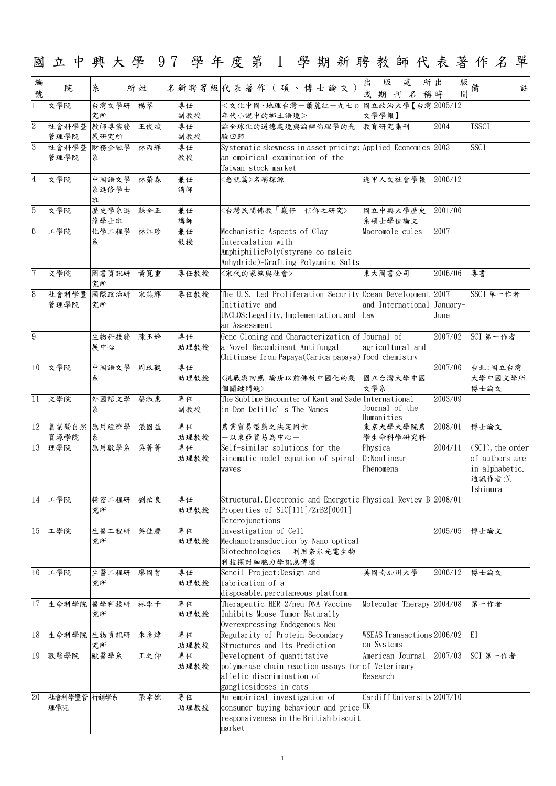1

| 國               |                     |                     |     |            | 立中興大學 97 學年度第 1 學期新聘教師代表著作名<br>單                                                                                                                                                    |
|-----------------|---------------------|---------------------|-----|------------|-------------------------------------------------------------------------------------------------------------------------------------------------------------------------------------|
| 編<br>號          | 院                   | 糸                   | 所姓  |            | 出<br>處<br>出<br>所<br>版<br>版<br>備<br>名新聘等級代表著作(碩、博士論文)<br>註<br>間<br>或<br>$\mathcal{Z}$<br>稱時<br>期<br>刊                                                                                |
|                 | 文學院                 | 台灣文學研<br>究所         | 楊翠  | 專任<br>副教授  | <文化中國·地理台灣一蕭麗紅一九七0<br>國立政治大學【台灣 2005/12<br>文學學報】<br>年代小說中的鄉土語境>                                                                                                                     |
| $\overline{2}$  | 社會科學暨 教師專業發<br>管理學院 | 展研究所                | 王俊斌 | 專任<br>副教授  | <b>TSSCI</b><br>2004<br>論全球化的道德處境與論辯倫理學的先 教育研究集刊<br>驗回歸                                                                                                                             |
| 3               | 社會科學暨 財務金融學         |                     | 林丙輝 | 專任         | <b>SSCI</b><br>Systematic skewness in asset pricing: Applied Economics 2003                                                                                                         |
|                 | 管理學院                | 糸                   |     | 教授         | an empirical examination of the<br>Taiwan stock market                                                                                                                              |
| $\overline{4}$  | 文學院                 | 中國語文學<br>系進修學士<br>班 | 林榮森 | 兼任<br>講師   | 2006/12<br>逢甲人文社會學報<br><急就篇>名稱探源                                                                                                                                                    |
| $\overline{5}$  | 文學院                 | 歷史學系進<br>修學士班       | 蘇全正 | 兼任<br>講師   | 〈台灣民間佛教「巖仔」信仰之研究〉<br>2001/06<br>國立中興大學歷史<br>系碩士學位論文                                                                                                                                 |
| $6\overline{6}$ | 工學院                 | 化學工程學               | 林江珍 | 兼任         | Mechanistic Aspects of Clay<br>2007<br>Macromole cules                                                                                                                              |
|                 |                     | 糸                   |     | 教授         | Intercalation with<br>AmphiphilicPoly(styrene-co-maleic<br>Anhydride)-Grafting Polyamine Salts                                                                                      |
| $\overline{7}$  | 文學院                 | 圖書資訊研<br>究所         | 黃寬重 | 專任教授       | 東大圖書公司<br>2006/06<br>專書<br>〈宋代的家族與社會〉                                                                                                                                               |
| $\overline{8}$  | 社會科學暨               | 國際政治研               | 宋燕輝 | 專任教授       | The U.S.-Led Proliferation Security Ocean Development 2007<br>SSCI 單一作者<br>Initiative and<br>and International                                                                      |
|                 | 管理學院                | 究所                  |     |            | January-<br>UNCLOS: Legality, Implementation, and<br>June<br>Law<br>an Assessment                                                                                                   |
| $\overline{9}$  |                     | 生物科技發<br>展中心        | 陳玉婷 | 專任<br>助理教授 | SCI 第一作者<br>2007/02<br>Gene Cloning and Characterization of Journal of<br>a Novel Recombinant Antifungal<br>agricultural and<br>Chitinase from Papaya(Carica papaya) food chemistry |
| 10              | 文學院                 | 中國語文學<br>糸          | 周玟觀 | 專任<br>助理教授 | 2007/06<br>台北:國立台灣<br>國立台灣大學中國<br>〈挑戰與回應-論唐以前佛教中國化的幾<br>大學中國文學所<br>文學系<br>博士論文<br>個關鍵問題>                                                                                            |
| 11              | 文學院                 | 外國語文學<br>糸          | 蔡淑惠 | 專任<br>副教授  | The Sublime Encounter of Kant and Sade International<br>2003/09<br>Journal of the<br>in Don Delillo's The Names<br>Humanities                                                       |
| 12              | 農業暨自然 應用經濟學<br>資源學院 | 糸                   | 張國益 | 專任<br>助理教授 | 2008/01<br>博士論文<br>農業貿易型態之決定因素<br>東京大學大學院農<br>一以東亞貿易為中心一<br>學生命科學研究科                                                                                                                |
| 13              | 理學院                 | 應用數學系               | 吳菁菁 | 專任         | (SCI), the order<br>Self-similar solutions for the<br>2004/11<br>Physica                                                                                                            |
|                 |                     |                     |     | 助理教授       | kinematic model equation of spiral<br>$D:$ Nonlinear<br>of authors are<br>in alphabetic.<br>Phenomena<br>waves<br>通訊作者:N.<br>Ishimura                                               |
| 14              | 工學院                 | 精密工程研<br>究所         | 劉柏良 | 專任<br>助理教授 | Structural, Electronic and Energetic Physical Review B 2008/01<br>Properties of SiC[111]/ZrB2[0001]<br>Heterojunctions                                                              |
| 15              | 工學院                 | 生醫工程研               | 吳佳慶 | 專任         | 2005/05<br>博士論文<br>Investigation of Cell                                                                                                                                            |
|                 |                     | 究所                  |     | 助理教授       | Mechanotransduction by Nano-optical<br>Biotechnologies 利用奈米光電生物<br>科技探討細胞力學訊息傳遞                                                                                                     |
| 16              | 工學院                 | 生醫工程研<br>究所         | 廖國智 | 專任<br>助理教授 | 博士論文<br>Sencil Project: Design and<br>美國南加州大學<br>2006/12<br>fabrication of a                                                                                                        |
| 17              |                     | 生命科學院 醫學科技研<br>究所   | 林季千 | 專任<br>助理教授 | disposable, percutaneous platform<br>Molecular Therapy 2004/08<br>Therapeutic HER-2/neu DNA Vaccine<br>第一作者<br>Inhibits Mouse Tumor Naturally<br>Overexpressing Endogenous Neu      |
| 18              |                     | 生命科學院 生物資訊研<br>究所   | 朱彥煒 | 專任<br>助理教授 | EI<br>WSEAS Transactions 2006/02<br>Regularity of Protein Secondary<br>on Systems<br>Structures and Its Prediction                                                                  |
| 19              | 獸醫學院                | 獸醫學系                | 王之仰 | 專任         | SCI 第一作者<br>2007/03<br>Development of quantitative<br>American Journal                                                                                                              |
|                 |                     |                     |     | 助理教授       | polymerase chain reaction assays for of Veterinary<br>allelic discrimination of<br>Research                                                                                         |
| 20              | 社會科學暨管 行銷學系         |                     | 張幸婉 | 專任         | gangliosidoses in cats<br>An empirical investigation of<br>Cardiff University 2007/10                                                                                               |
|                 | 理學院                 |                     |     | 助理教授       | consumer buying behaviour and price $UK$<br>responsiveness in the British biscuit                                                                                                   |
|                 |                     |                     |     |            | market                                                                                                                                                                              |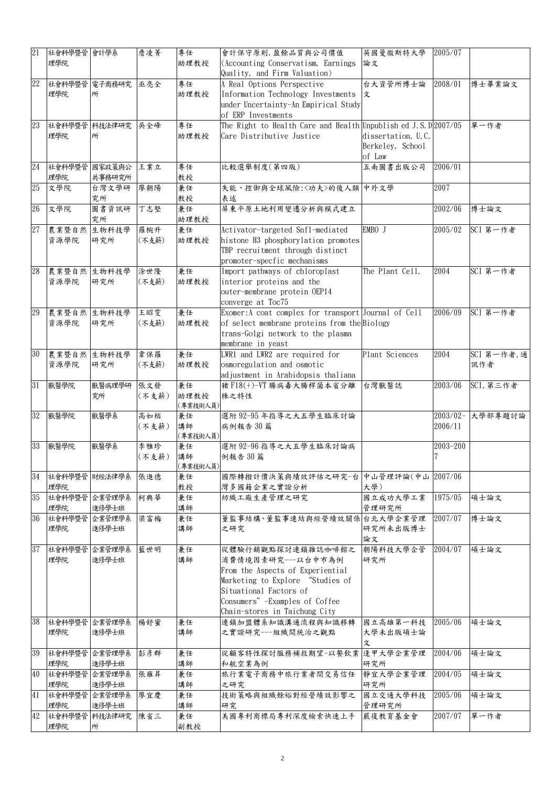| 21 | 社會科學暨管        | 會計學系             | 詹凌菁          | 專任               | 會計保守原則,盈餘品質與公司價值                                                          | 英國曼徹斯特大學           | 2005/07     |             |
|----|---------------|------------------|--------------|------------------|---------------------------------------------------------------------------|--------------------|-------------|-------------|
|    | 理學院           |                  |              | 助理教授             | (Accounting Conservatism, Earnings)<br>論文<br>Quality, and Firm Valuation) |                    |             |             |
| 22 | 社會科學暨管        | 電子商務研究           | 巫亮全          | 專任               | A Real Options Perspective<br>台大資管所博士論                                    |                    | 2008/01     | 博士畢業論文      |
|    | 理學院           | 所                |              | 助理教授             | Information Technology Investments                                        | 文                  |             |             |
|    |               |                  |              |                  | under Uncertainty-An Empirical Study<br>of ERP Investments                |                    |             |             |
| 23 | 社會科學暨管        | 科技法律研究           | 吳全峰          | 專任               | The Right to Health Care and Health Unpublish ed J.S. $D 2007/05$         |                    |             | 單一作者        |
|    | 理學院           | 所                |              | 助理教授             | Care Distributive Justice                                                 | dissertation, U.C. |             |             |
|    |               |                  |              |                  |                                                                           | Berkeley, School   |             |             |
|    |               |                  |              |                  |                                                                           | of Law             |             |             |
| 24 | 社會科學暨管<br>理學院 | 國家政策與公<br>共事務研究所 | 王業立          | 專任<br>教授         | 五南圖書出版公司<br>比較選舉制度(第四版)                                                   |                    | 2006/01     |             |
| 25 | 文學院           | 台灣文學研            | 廖朝陽          | 兼任               | 失能、控御與全球風險:〈功夫〉的後人類 中外文學                                                  |                    | 2007        |             |
|    |               | 究所               |              | 教授               | 表述                                                                        |                    |             |             |
| 26 | 文學院           | 圖書資訊研            | 丁志堅          | 兼任               | 屏東平原土地利用變遷分析與模式建立                                                         |                    | 2002/06     | 博士論文        |
|    |               | 究所               |              | 助理教授             |                                                                           |                    |             |             |
| 27 | 農業暨自然<br>資源學院 | 生物科技學<br>研究所     | 羅椀升<br>(不支薪) | 兼任<br>助理教授       | Activator-targeted Snf1-mediated<br>histone H3 phosphorylation promotes   | EMBO J             | 2005/02     | SCI 第一作者    |
|    |               |                  |              |                  | TBP recruitment through distinct                                          |                    |             |             |
|    |               |                  |              |                  | promoter-specfic mechanisms                                               |                    |             |             |
| 28 | 農業暨自然 生物科技學   |                  | 涂世隆          | 兼任               | Import pathways of chloroplast                                            | The Plant Cell.    | 2004        | SCI 第一作者    |
|    | 資源學院          | 研究所              | (不支薪)        | 助理教授             | interior proteins and the<br>outer-membrane protein OEP14                 |                    |             |             |
|    |               |                  |              |                  | converge at Toc75                                                         |                    |             |             |
| 29 | 農業暨自然 生物科技學   |                  | 王昭雯          | 兼任               | Exomer: A coat complex for transport Journal of Cell                      |                    | 2006/09     | SCI 第一作者    |
|    | 資源學院          | 研究所              | (不支薪)        | 助理教授             | of select membrane proteins from the Biology                              |                    |             |             |
|    |               |                  |              |                  | trans-Golgi network to the plasma                                         |                    |             |             |
| 30 | 農業暨自然 生物科技學   |                  | 韋保羅          | 兼任               | membrane in yeast<br>LWR1 and LWR2 are required for                       | Plant Sciences     | 2004        | SCI 第一作者, 通 |
|    | 資源學院          | 研究所              | (不支薪)        | 助理教授             | osmoregulation and osmotic                                                |                    |             | 訊作者         |
|    |               |                  |              |                  | adjustment in Arabidopsis thaliana                                        |                    |             |             |
| 31 | 獸醫學院          | 獸醫病理學研           | 張文發          | 兼任               | 豬 F18(+)-VT 腸病毒大腸桿菌本省分離                                                   | 台灣獸醫誌              | 2003/06     | SCI, 第三作者   |
|    |               | 究所               | (不支薪)        | 助理教授<br>(專業技術人員) | 株之特性                                                                      |                    |             |             |
| 32 | 獸醫學院          | 獸醫學系             | 高如栢          | 兼任               | 選附 92-95 年指導之大五學生臨床討論                                                     |                    | $2003/02 -$ | 大學部專題討論     |
|    |               |                  | (不支薪)        | 講師               | 病例報告30篇                                                                   |                    | 2006/11     |             |
| 33 | 獸醫學院          | 獸醫學系             | 李雅珍          | (專業技術人員)<br>兼任   | 選附 92-96 指導之大五學生臨床討論病                                                     |                    | 2003-200    |             |
|    |               |                  | (不支薪)        | 講師               | 例報告 30 篇                                                                  |                    |             |             |
|    |               |                  |              | (專業技術人員)         |                                                                           |                    |             |             |
| 34 | 社會科學暨管 財經法律學系 |                  | 張進德          | 兼任               | 國際轉撥計價決策與績效評估之研究-台                                                        | 中山管理評論(中山 2007/06  |             |             |
| 35 | 理學院<br>社會科學暨管 | 企業管理學系           | 柯典華          | 教授<br>兼任         | 灣多國籍企業之實證分析<br>紡織工廠生產管理之研究                                                | 大學)<br>國立成功大學工業    | 1975/05     | 碩士論文        |
|    | 理學院           | 進修學士班            |              | 講師               |                                                                           | 管理研究所              |             |             |
| 36 | 社會科學暨管        | 企業管理學系           | 梁富梅          | 兼任               | 董監事結構、董監事連結與經營績效關係台北大學企業管理                                                |                    | 2007/07     | 博士論文        |
|    | 理學院           | 進修學士班            |              | 講師               | 之研究                                                                       | 研究所未出版博士           |             |             |
| 37 | 社會科學暨管        | 企業管理學系           | 藍世明          | 兼任               | 從體驗行銷觀點探討連鎖雜誌咖啡館之                                                         | 論文<br>朝陽科技大學企管     | 2004/07     | 碩士論文        |
|    | 理學院           | 進修學士班            |              | 講師               | 消費情境因素研究---以台中市為例                                                         | 研究所                |             |             |
|    |               |                  |              |                  | From the Aspects of Experiential                                          |                    |             |             |
|    |               |                  |              |                  | Marketing to Explore "Studies of                                          |                    |             |             |
|    |               |                  |              |                  | Situational Factors of                                                    |                    |             |             |
|    |               |                  |              |                  | Consumers" -Examples of Coffee<br>Chain-stores in Taichung City           |                    |             |             |
| 38 | 社會科學暨管        | 企業管理學系           | 楊舒蜜          | 兼任               | 連鎖加盟體系知識溝通流程與知識移轉                                                         | 國立高雄第一科技           | 2005/06     | 碩士論文        |
|    | 理學院           | 進修學士班            |              | 講師               | 之實證研究---組織間統治之觀點                                                          | 大學未出版碩士論           |             |             |
|    |               |                  |              |                  |                                                                           | 文                  |             |             |
| 39 | 社會科學暨管<br>理學院 | 企業管理學系<br>進修學士班  | 彭彦群          | 兼任<br>講師         | 從顧客特性探討服務補救期望-以餐飲業<br>和航空業為例                                              | 逢甲大學企業管理<br>研究所    | 2004/06     | 碩士論文        |
| 40 | 社會科學暨管        | 企業管理學系           | 張雍昇          | 兼任               | 旅行業電子商務中旅行業者間交易信任                                                         | 靜宜大學企業管理           | 2004/05     | 碩士論文        |
|    | 理學院           | 進修學士班            |              | 講師               | 之研究                                                                       | 研究所                |             |             |
| 41 | 社會科學暨管<br>理學院 | 企業管理學系<br>進修學士班  | 廖宜慶          | 兼任<br>講師         | 技術策略與組織餘裕對經營績效影響之<br>研究                                                   | 國立交通大學科技<br>管理研究所  | 2005/06     | 碩士論文        |
| 42 | 社會科學暨管        | 科技法律研究           | 陳省三          | 兼任               | 美國專利商標局專利深度檢索快速上手                                                         | 嚴復教育基金會            | 2007/07     | 單一作者        |
|    | 理學院           | 所                |              | 副教授              |                                                                           |                    |             |             |